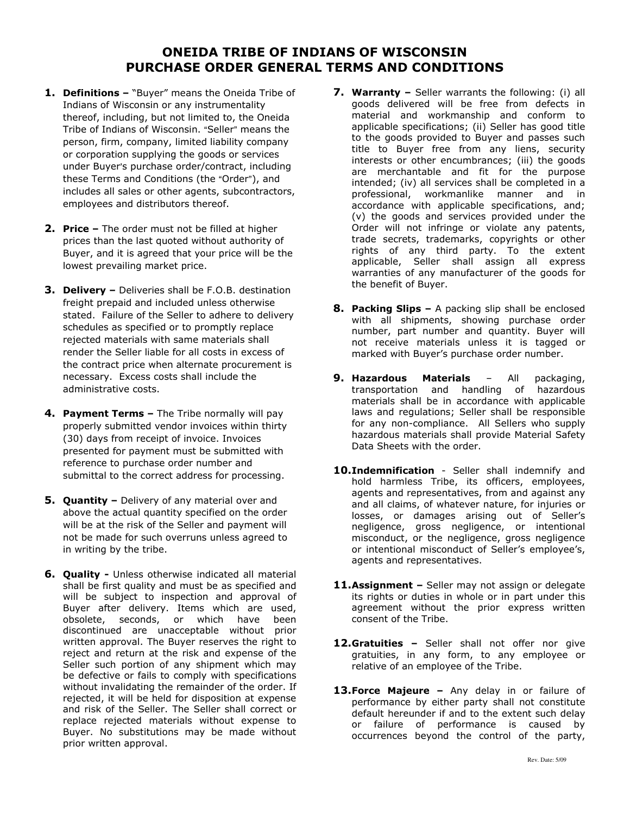## ONEIDA TRIBE OF INDIANS OF WISCONSIN PURCHASE ORDER GENERAL TERMS AND CONDITIONS

- 1. Definitions "Buyer" means the Oneida Tribe of Indians of Wisconsin or any instrumentality thereof, including, but not limited to, the Oneida Tribe of Indians of Wisconsin. "Seller" means the person, firm, company, limited liability company or corporation supplying the goods or services under Buyer's purchase order/contract, including these Terms and Conditions (the "Order"), and includes all sales or other agents, subcontractors, employees and distributors thereof.
- 2. Price The order must not be filled at higher prices than the last quoted without authority of Buyer, and it is agreed that your price will be the lowest prevailing market price.
- 3. Delivery Deliveries shall be F.O.B. destination freight prepaid and included unless otherwise stated. Failure of the Seller to adhere to delivery schedules as specified or to promptly replace rejected materials with same materials shall render the Seller liable for all costs in excess of the contract price when alternate procurement is necessary. Excess costs shall include the administrative costs.
- 4. Payment Terms The Tribe normally will pay properly submitted vendor invoices within thirty (30) days from receipt of invoice. Invoices presented for payment must be submitted with reference to purchase order number and submittal to the correct address for processing.
- **5. Quantity -** Delivery of any material over and above the actual quantity specified on the order will be at the risk of the Seller and payment will not be made for such overruns unless agreed to in writing by the tribe.
- 6. Quality Unless otherwise indicated all material shall be first quality and must be as specified and will be subject to inspection and approval of Buyer after delivery. Items which are used, obsolete, seconds, or which have been discontinued are unacceptable without prior written approval. The Buyer reserves the right to reject and return at the risk and expense of the Seller such portion of any shipment which may be defective or fails to comply with specifications without invalidating the remainder of the order. If rejected, it will be held for disposition at expense and risk of the Seller. The Seller shall correct or replace rejected materials without expense to Buyer. No substitutions may be made without prior written approval.
- 7. Warranty Seller warrants the following: (i) all goods delivered will be free from defects in material and workmanship and conform to applicable specifications; (ii) Seller has good title to the goods provided to Buyer and passes such title to Buyer free from any liens, security interests or other encumbrances; (iii) the goods are merchantable and fit for the purpose intended; (iv) all services shall be completed in a professional, workmanlike manner and in accordance with applicable specifications, and; (v) the goods and services provided under the Order will not infringe or violate any patents, trade secrets, trademarks, copyrights or other rights of any third party. To the extent applicable, Seller shall assign all express warranties of any manufacturer of the goods for the benefit of Buyer.
- **8. Packing Slips –** A packing slip shall be enclosed with all shipments, showing purchase order number, part number and quantity. Buyer will not receive materials unless it is tagged or marked with Buyer's purchase order number.
- 9. Hazardous Materials All packaging, transportation and handling of hazardous materials shall be in accordance with applicable laws and regulations; Seller shall be responsible for any non-compliance. All Sellers who supply hazardous materials shall provide Material Safety Data Sheets with the order.
- 10.Indemnification Seller shall indemnify and hold harmless Tribe, its officers, employees, agents and representatives, from and against any and all claims, of whatever nature, for injuries or losses, or damages arising out of Seller's negligence, gross negligence, or intentional misconduct, or the negligence, gross negligence or intentional misconduct of Seller's employee's, agents and representatives.
- 11.Assignment Seller may not assign or delegate its rights or duties in whole or in part under this agreement without the prior express written consent of the Tribe.
- 12.Gratuities Seller shall not offer nor give gratuities, in any form, to any employee or relative of an employee of the Tribe.
- 13. Force Majeure Any delay in or failure of performance by either party shall not constitute default hereunder if and to the extent such delay or failure of performance is caused by occurrences beyond the control of the party,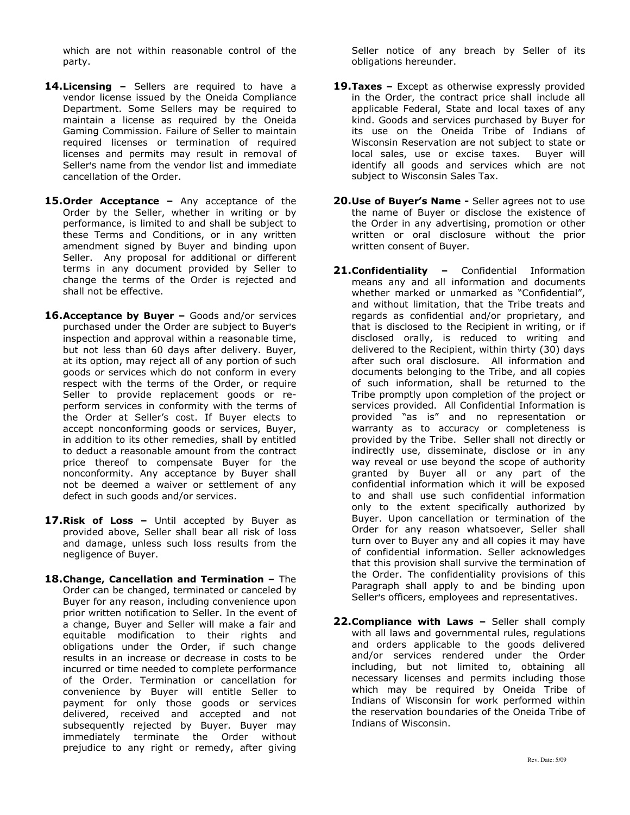which are not within reasonable control of the party.

- 14. Licensing Sellers are required to have a vendor license issued by the Oneida Compliance Department. Some Sellers may be required to maintain a license as required by the Oneida Gaming Commission. Failure of Seller to maintain required licenses or termination of required licenses and permits may result in removal of Seller's name from the vendor list and immediate cancellation of the Order.
- 15. Order Acceptance Any acceptance of the Order by the Seller, whether in writing or by performance, is limited to and shall be subject to these Terms and Conditions, or in any written amendment signed by Buyer and binding upon Seller. Any proposal for additional or different terms in any document provided by Seller to change the terms of the Order is rejected and shall not be effective.
- 16. Acceptance by Buyer Goods and/or services purchased under the Order are subject to Buyer's inspection and approval within a reasonable time, but not less than 60 days after delivery. Buyer, at its option, may reject all of any portion of such goods or services which do not conform in every respect with the terms of the Order, or require Seller to provide replacement goods or reperform services in conformity with the terms of the Order at Seller's cost. If Buyer elects to accept nonconforming goods or services, Buyer, in addition to its other remedies, shall by entitled to deduct a reasonable amount from the contract price thereof to compensate Buyer for the nonconformity. Any acceptance by Buyer shall not be deemed a waiver or settlement of any defect in such goods and/or services.
- 17. Risk of Loss Until accepted by Buyer as provided above, Seller shall bear all risk of loss and damage, unless such loss results from the negligence of Buyer.
- 18. Change, Cancellation and Termination The Order can be changed, terminated or canceled by Buyer for any reason, including convenience upon prior written notification to Seller. In the event of a change, Buyer and Seller will make a fair and equitable modification to their rights and obligations under the Order, if such change results in an increase or decrease in costs to be incurred or time needed to complete performance of the Order. Termination or cancellation for convenience by Buyer will entitle Seller to payment for only those goods or services delivered, received and accepted and not subsequently rejected by Buyer. Buyer may immediately terminate the Order without prejudice to any right or remedy, after giving

Seller notice of any breach by Seller of its obligations hereunder.

- 19. Taxes Except as otherwise expressly provided in the Order, the contract price shall include all applicable Federal, State and local taxes of any kind. Goods and services purchased by Buyer for its use on the Oneida Tribe of Indians of Wisconsin Reservation are not subject to state or local sales, use or excise taxes. Buyer will identify all goods and services which are not subject to Wisconsin Sales Tax.
- 20. Use of Buyer's Name Seller agrees not to use the name of Buyer or disclose the existence of the Order in any advertising, promotion or other written or oral disclosure without the prior written consent of Buyer.
- 21.Confidentiality Confidential Information means any and all information and documents whether marked or unmarked as "Confidential", and without limitation, that the Tribe treats and regards as confidential and/or proprietary, and that is disclosed to the Recipient in writing, or if disclosed orally, is reduced to writing and delivered to the Recipient, within thirty (30) days after such oral disclosure. All information and documents belonging to the Tribe, and all copies of such information, shall be returned to the Tribe promptly upon completion of the project or services provided. All Confidential Information is provided "as is" and no representation or warranty as to accuracy or completeness is provided by the Tribe. Seller shall not directly or indirectly use, disseminate, disclose or in any way reveal or use beyond the scope of authority granted by Buyer all or any part of the confidential information which it will be exposed to and shall use such confidential information only to the extent specifically authorized by Buyer. Upon cancellation or termination of the Order for any reason whatsoever, Seller shall turn over to Buyer any and all copies it may have of confidential information. Seller acknowledges that this provision shall survive the termination of the Order. The confidentiality provisions of this Paragraph shall apply to and be binding upon Seller's officers, employees and representatives.
- 22. Compliance with Laws Seller shall comply with all laws and governmental rules, regulations and orders applicable to the goods delivered and/or services rendered under the Order including, but not limited to, obtaining all necessary licenses and permits including those which may be required by Oneida Tribe of Indians of Wisconsin for work performed within the reservation boundaries of the Oneida Tribe of Indians of Wisconsin.